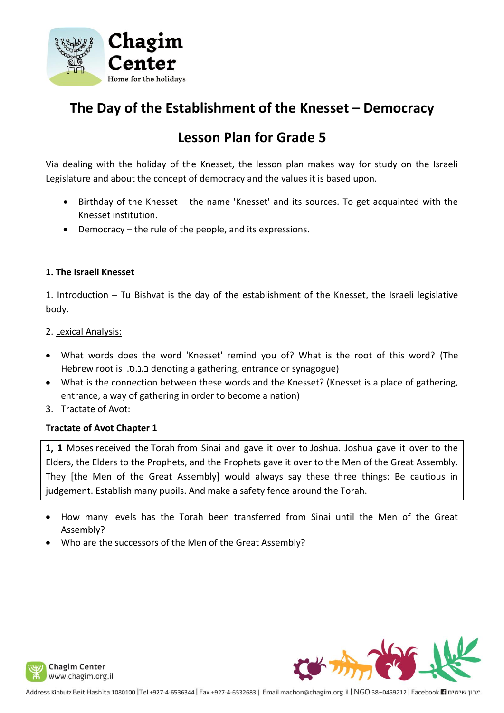

# **The Day of the Establishment of the Knesset – Democracy**

# **Lesson Plan for Grade 5**

Via dealing with the holiday of the Knesset, the lesson plan makes way for study on the Israeli Legislature and about the concept of democracy and the values it is based upon.

- Birthday of the Knesset the name 'Knesset' and its sources. To get acquainted with the Knesset institution.
- Democracy the rule of the people, and its expressions.

## **1. The Israeli Knesset**

1. Introduction – Tu Bishvat is the day of the establishment of the Knesset, the Israeli legislative body.

2. Lexical Analysis:

- What words does the word 'Knesset' remind you of? What is the root of this word? (The Hebrew root is .ס.נ.כ denoting a gathering, entrance or synagogue)
- What is the connection between these words and the Knesset? (Knesset is a place of gathering, entrance, a way of gathering in order to become a nation)
- 3. Tractate of Avot:

#### **Tractate of Avot Chapter 1**

**1, 1** Moses received the Torah from Sinai and gave it over to Joshua. Joshua gave it over to the Elders, the Elders to the Prophets, and the Prophets gave it over to the Men of the Great Assembly. They [the Men of the Great Assembly] would always say these three things: Be cautious in judgement. Establish many pupils. And make a safety fence around the Torah.

- How many levels has the Torah been transferred from Sinai until the Men of the Great Assembly?
- Who are the successors of the Men of the Great Assembly?

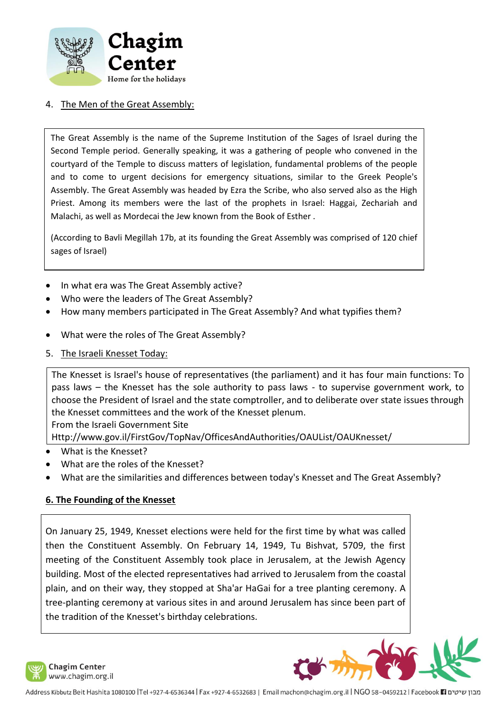

### 4. The Men of the Great Assembly:

The Great Assembly is the name of the Supreme Institution of the Sages of Israel during the Second Temple period. Generally speaking, it was a gathering of people who convened in the courtyard of the Temple to discuss matters of legislation, fundamental problems of the people and to come to urgent decisions for emergency situations, similar to the Greek People's Assembly. The Great Assembly was headed by Ezra the Scribe, who also served also as the High Priest. Among its members were the last of the prophets in Israel: Haggai, Zechariah and Malachi, as well as Mordecai the Jew known from the Book of Esther .

(According to Bavli Megillah 17b, at its founding the Great Assembly was comprised of 120 chief sages of Israel)

- In what era was The Great Assembly active?
- Who were the leaders of The Great Assembly?
- How many members participated in The Great Assembly? And what typifies them?
- What were the roles of The Great Assembly?
- 5. The Israeli Knesset Today:

The Knesset is Israel's house of representatives (the parliament) and it has four main functions: To pass laws – the Knesset has the sole authority to pass laws - to supervise government work, to choose the President of Israel and the state comptroller, and to deliberate over state issues through the Knesset committees and the work of the Knesset plenum.

From the Israeli Government Site

Http://www.gov.il/FirstGov/TopNav/OfficesAndAuthorities/OAUList/OAUKnesset/

- What is the Knesset?
- What are the roles of the Knesset?
- What are the similarities and differences between today's Knesset and The Great Assembly?

#### **6. The Founding of the Knesset**

On January 25, 1949, Knesset elections were held for the first time by what was called then the Constituent Assembly. On February 14, 1949, Tu Bishvat, 5709, the first meeting of the Constituent Assembly took place in Jerusalem, at the Jewish Agency building. Most of the elected representatives had arrived to Jerusalem from the coastal plain, and on their way, they stopped at Sha'ar HaGai for a tree planting ceremony. A tree-planting ceremony at various sites in and around Jerusalem has since been part of the tradition of the Knesset's birthday celebrations.

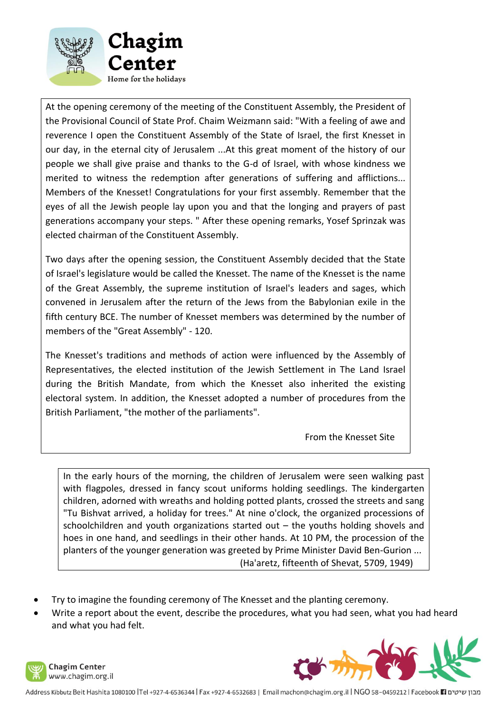

At the opening ceremony of the meeting of the Constituent Assembly, the President of the Provisional Council of State Prof. Chaim Weizmann said: "With a feeling of awe and reverence I open the Constituent Assembly of the State of Israel, the first Knesset in our day, in the eternal city of Jerusalem ...At this great moment of the history of our people we shall give praise and thanks to the G-d of Israel, with whose kindness we merited to witness the redemption after generations of suffering and afflictions... Members of the Knesset! Congratulations for your first assembly. Remember that the eyes of all the Jewish people lay upon you and that the longing and prayers of past generations accompany your steps. " After these opening remarks, Yosef Sprinzak was elected chairman of the Constituent Assembly.

Two days after the opening session, the Constituent Assembly decided that the State of Israel's legislature would be called the Knesset. The name of the Knesset is the name of the Great Assembly, the supreme institution of Israel's leaders and sages, which convened in Jerusalem after the return of the Jews from the Babylonian exile in the fifth century BCE. The number of Knesset members was determined by the number of members of the "Great Assembly" - 120.

The Knesset's traditions and methods of action were influenced by the Assembly of Representatives, the elected institution of the Jewish Settlement in The Land Israel during the British Mandate, from which the Knesset also inherited the existing electoral system. In addition, the Knesset adopted a number of procedures from the British Parliament, "the mother of the parliaments".

From the Knesset Site

In the early hours of the morning, the children of Jerusalem were seen walking past with flagpoles, dressed in fancy scout uniforms holding seedlings. The kindergarten children, adorned with wreaths and holding potted plants, crossed the streets and sang "Tu Bishvat arrived, a holiday for trees." At nine o'clock, the organized processions of schoolchildren and youth organizations started out – the youths holding shovels and hoes in one hand, and seedlings in their other hands. At 10 PM, the procession of the planters of the younger generation was greeted by Prime Minister David Ben-Gurion ... (Ha'aretz, fifteenth of Shevat, 5709, 1949)

- Try to imagine the founding ceremony of The Knesset and the planting ceremony.
- Write a report about the event, describe the procedures, what you had seen, what you had heard and what you had felt.